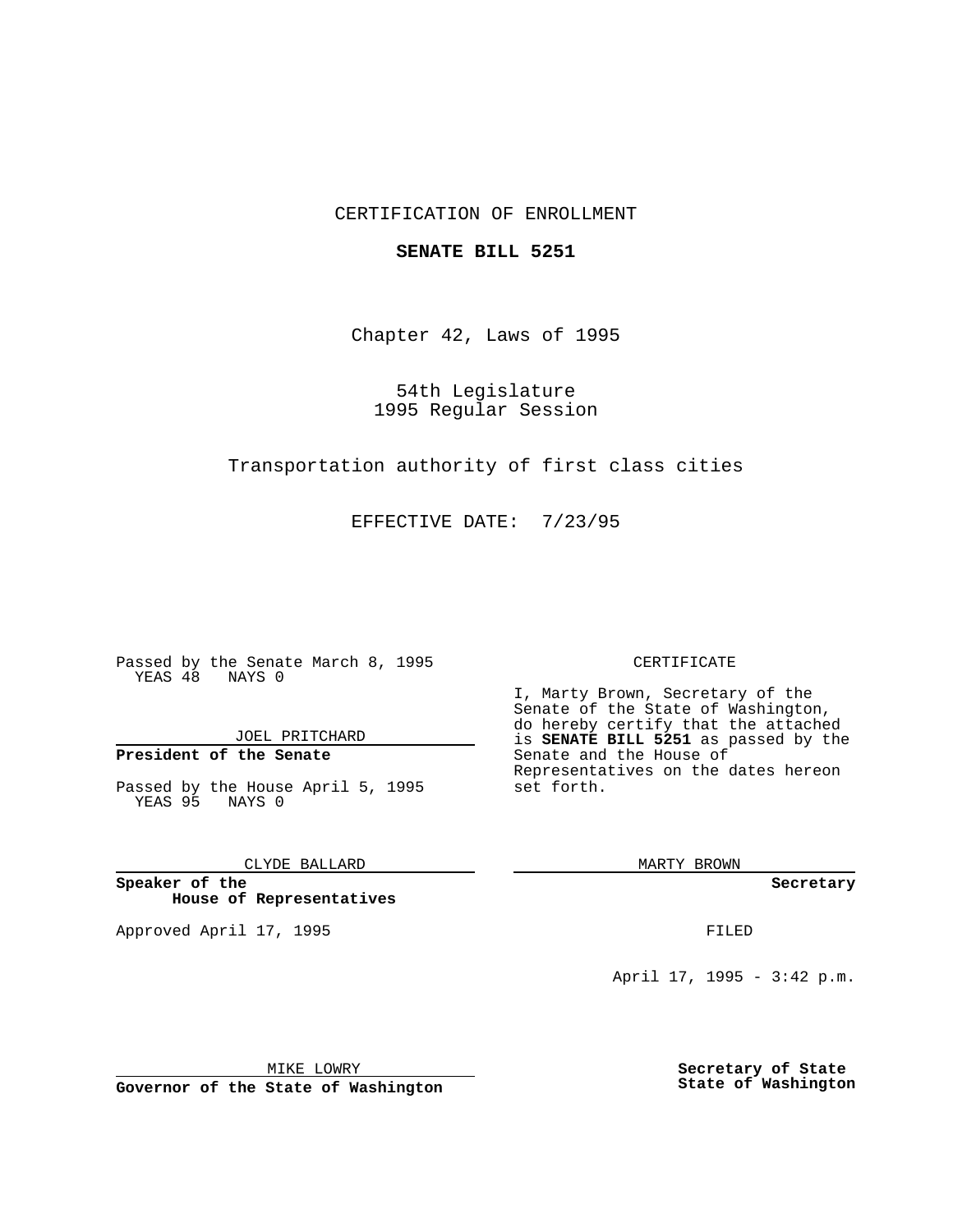# CERTIFICATION OF ENROLLMENT

### **SENATE BILL 5251**

Chapter 42, Laws of 1995

54th Legislature 1995 Regular Session

Transportation authority of first class cities

EFFECTIVE DATE: 7/23/95

Passed by the Senate March 8, 1995 YEAS 48 NAYS 0

JOEL PRITCHARD

# **President of the Senate**

Passed by the House April 5, 1995 YEAS 95 NAYS 0

CLYDE BALLARD

**Speaker of the House of Representatives**

Approved April 17, 1995 **FILED** 

#### CERTIFICATE

I, Marty Brown, Secretary of the Senate of the State of Washington, do hereby certify that the attached is **SENATE BILL 5251** as passed by the Senate and the House of Representatives on the dates hereon set forth.

MARTY BROWN

**Secretary**

April 17, 1995 - 3:42 p.m.

MIKE LOWRY

**Governor of the State of Washington**

**Secretary of State State of Washington**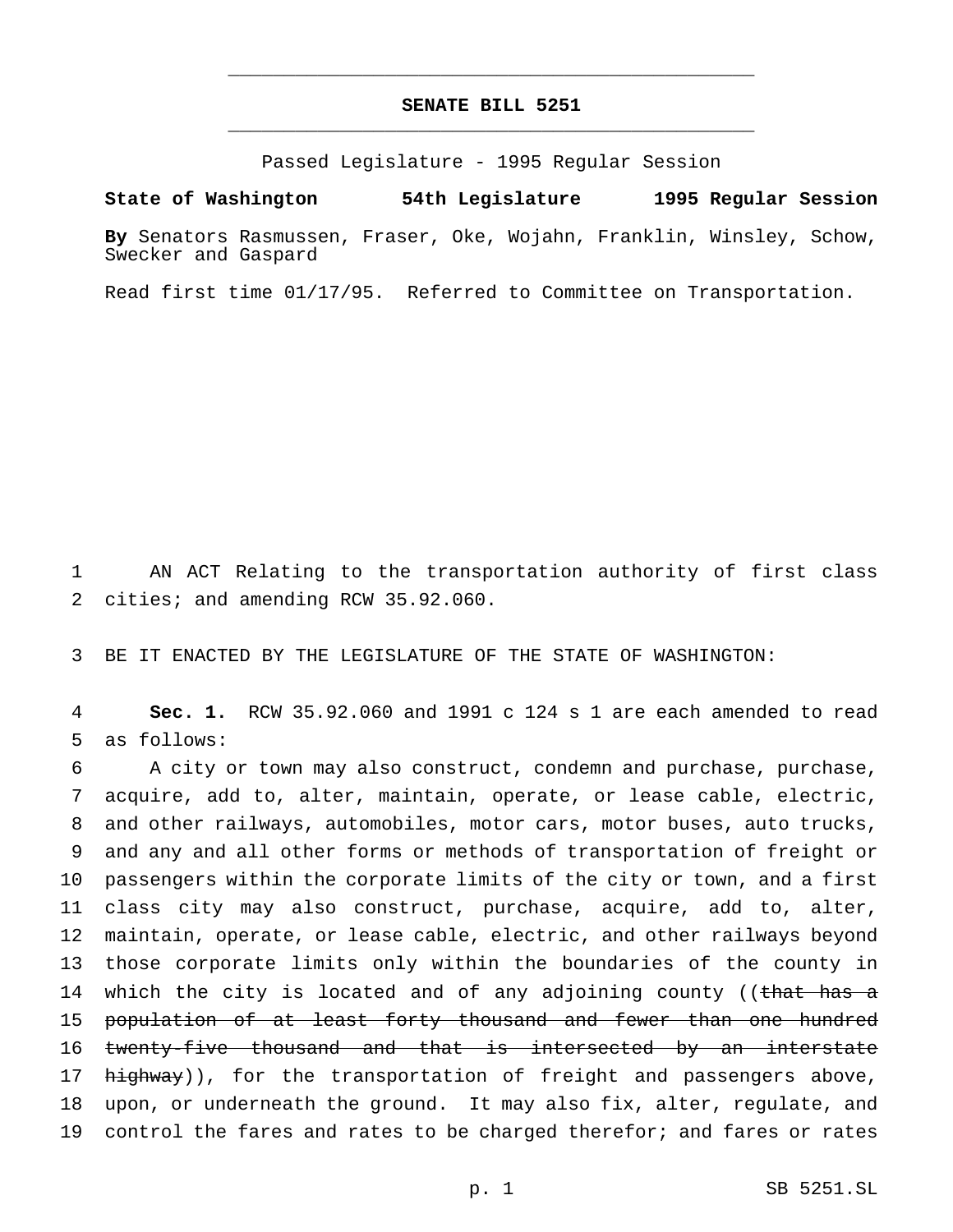# **SENATE BILL 5251** \_\_\_\_\_\_\_\_\_\_\_\_\_\_\_\_\_\_\_\_\_\_\_\_\_\_\_\_\_\_\_\_\_\_\_\_\_\_\_\_\_\_\_\_\_\_\_

\_\_\_\_\_\_\_\_\_\_\_\_\_\_\_\_\_\_\_\_\_\_\_\_\_\_\_\_\_\_\_\_\_\_\_\_\_\_\_\_\_\_\_\_\_\_\_

Passed Legislature - 1995 Regular Session

**State of Washington 54th Legislature 1995 Regular Session**

**By** Senators Rasmussen, Fraser, Oke, Wojahn, Franklin, Winsley, Schow, Swecker and Gaspard

Read first time 01/17/95. Referred to Committee on Transportation.

1 AN ACT Relating to the transportation authority of first class 2 cities; and amending RCW 35.92.060.

3 BE IT ENACTED BY THE LEGISLATURE OF THE STATE OF WASHINGTON:

4 **Sec. 1.** RCW 35.92.060 and 1991 c 124 s 1 are each amended to read 5 as follows:

 A city or town may also construct, condemn and purchase, purchase, acquire, add to, alter, maintain, operate, or lease cable, electric, and other railways, automobiles, motor cars, motor buses, auto trucks, and any and all other forms or methods of transportation of freight or passengers within the corporate limits of the city or town, and a first class city may also construct, purchase, acquire, add to, alter, maintain, operate, or lease cable, electric, and other railways beyond those corporate limits only within the boundaries of the county in 14 which the city is located and of any adjoining county ((that has a 15 population of at least forty thousand and fewer than one hundred 16 twenty-five thousand and that is intersected by an interstate 17 highway)), for the transportation of freight and passengers above, upon, or underneath the ground. It may also fix, alter, regulate, and 19 control the fares and rates to be charged therefor; and fares or rates